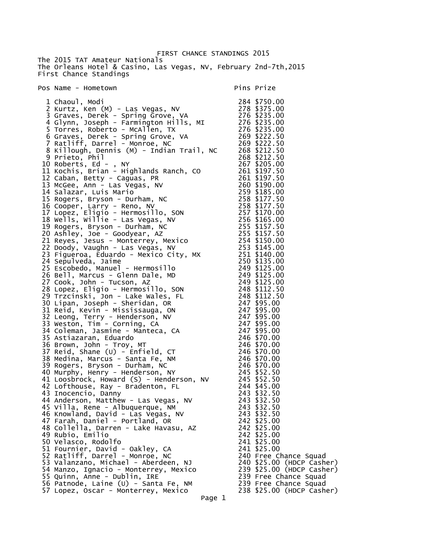FIRST CHANCE STANDINGS 2015 The 2015 TAT Amateur Nationals The Orleans Hotel & Casino, Las Vegas, NV, February 2nd-7th,2015 First Chance Standings

## Pos Name - Hometown Pins Prize

| 284 \$750.00<br>2 Kurtz, Ken (M) - Las Vegas, NV 278 \$375.00<br>3 Graves, Derek - Spring Grove, VA 276 \$235.00<br>4 Glynn, Joseph - Farmington Hills, MI 276 \$235.00<br>5 Torres, Roberto - McAllen, TX 276 \$235.00<br>6 Graves, Derek -                      |        |                                                 |
|-------------------------------------------------------------------------------------------------------------------------------------------------------------------------------------------------------------------------------------------------------------------|--------|-------------------------------------------------|
|                                                                                                                                                                                                                                                                   |        |                                                 |
|                                                                                                                                                                                                                                                                   |        |                                                 |
|                                                                                                                                                                                                                                                                   |        |                                                 |
|                                                                                                                                                                                                                                                                   |        |                                                 |
| 9 Prieto, Phil                                                                                                                                                                                                                                                    |        | 268 \$212.50                                    |
| 10 Roberts, Ed - , NY<br>10 Roberts, Ed. - NY<br>11 Kochis, Brian - Highlands Ranch, Co<br>11 Kochis, Brian - Highlands Ranch, Co<br>12 Caban, Betty - Caguas, PR<br>14 Sudazar, Luis Mario 2001 S197.50<br>14 Salazar, Luis Mario 2003, NY<br>15 Rogers, Larry - |        | 267 \$205.00                                    |
| 11 Kochis, Brian - Highlands Ranch, CO<br>12 Caban, Betty - Caguas, CD                                                                                                                                                                                            |        | 261 \$197.50                                    |
|                                                                                                                                                                                                                                                                   |        |                                                 |
|                                                                                                                                                                                                                                                                   |        |                                                 |
|                                                                                                                                                                                                                                                                   |        |                                                 |
|                                                                                                                                                                                                                                                                   |        |                                                 |
|                                                                                                                                                                                                                                                                   |        |                                                 |
|                                                                                                                                                                                                                                                                   |        |                                                 |
|                                                                                                                                                                                                                                                                   |        |                                                 |
|                                                                                                                                                                                                                                                                   |        |                                                 |
|                                                                                                                                                                                                                                                                   |        |                                                 |
|                                                                                                                                                                                                                                                                   |        |                                                 |
|                                                                                                                                                                                                                                                                   |        |                                                 |
|                                                                                                                                                                                                                                                                   |        |                                                 |
|                                                                                                                                                                                                                                                                   |        |                                                 |
|                                                                                                                                                                                                                                                                   |        |                                                 |
|                                                                                                                                                                                                                                                                   |        |                                                 |
|                                                                                                                                                                                                                                                                   |        |                                                 |
|                                                                                                                                                                                                                                                                   |        |                                                 |
|                                                                                                                                                                                                                                                                   |        |                                                 |
|                                                                                                                                                                                                                                                                   |        |                                                 |
|                                                                                                                                                                                                                                                                   |        |                                                 |
|                                                                                                                                                                                                                                                                   |        |                                                 |
|                                                                                                                                                                                                                                                                   |        |                                                 |
|                                                                                                                                                                                                                                                                   |        |                                                 |
|                                                                                                                                                                                                                                                                   |        |                                                 |
|                                                                                                                                                                                                                                                                   |        |                                                 |
|                                                                                                                                                                                                                                                                   |        |                                                 |
|                                                                                                                                                                                                                                                                   |        |                                                 |
| 46 Knowland, David - Las Vegas, NV<br>47 Farah, Daniel - Portland, OR                                                                                                                                                                                             |        | 243 \$32.50<br>242 \$25.00                      |
| 48 Collella, Darren - Lake Havasu, AZ                                                                                                                                                                                                                             |        | 242 \$25.00                                     |
| 49 Rubio, Emilio                                                                                                                                                                                                                                                  |        | 242 \$25.00                                     |
| 50 Velasco, Rodolfo                                                                                                                                                                                                                                               |        | 241 \$25.00                                     |
| 51 Fournier, David - Oakley, CA<br>52 Ratliff, Darrel - Monroe, NC                                                                                                                                                                                                |        | 241 \$25.00<br>240 Free Chance Squad            |
| 53 Valanzano, Michael - Aberdeen, NJ                                                                                                                                                                                                                              |        | 240 \$25.00 (HDCP Cash                          |
| 54 Manzo, Ignacio - Monterrey, Mexico                                                                                                                                                                                                                             |        | 239 \$25.00 (HDCP Cash                          |
| 55 Quinn, Anne - Dublin, IRE                                                                                                                                                                                                                                      |        | 239 Free Chance Squad                           |
| 56 Patnode, Laine (U) - Santa Fe, NM<br>57 Lopez, Oscar - Monterrey, Mexico                                                                                                                                                                                       |        | 239 Free Chance Squad<br>238 \$25.00 (HDCP Cash |
|                                                                                                                                                                                                                                                                   | Dana 1 |                                                 |

| 276<br>$\overline{c}$<br>76     | \$<br>00<br>\$<br>00                                                                                                                                  |
|---------------------------------|-------------------------------------------------------------------------------------------------------------------------------------------------------|
| 269                             | $\ddot{\phantom{0}}$<br>$\frac{50}{10}$<br>\$                                                                                                         |
|                                 | \$<br>50<br>50<br>50<br>00<br>\$                                                                                                                      |
|                                 | \$                                                                                                                                                    |
|                                 | \$<br>\$                                                                                                                                              |
|                                 | 50<br>50<br>50<br>00<br>\$                                                                                                                            |
|                                 | \$<br>\$<br>00                                                                                                                                        |
|                                 | 50<br>50<br>\$                                                                                                                                        |
|                                 | \$<br>\$<br>00                                                                                                                                        |
|                                 | 00<br>\$<br>Į,                                                                                                                                        |
|                                 | $\frac{50}{50}$<br>\$<br>\$                                                                                                                           |
|                                 | \$                                                                                                                                                    |
|                                 | \$<br>00                                                                                                                                              |
|                                 | \$<br>00<br>l,<br>\$<br>00                                                                                                                            |
|                                 | \$<br>.00                                                                                                                                             |
|                                 | \$<br>00<br>\$<br>00                                                                                                                                  |
|                                 | 50<br>\$                                                                                                                                              |
|                                 | 11115555550<br>$\begin{array}{c} 5.0 \\ 2.5 \\ 2.5 \\ 2.0 \\ 00 \\ 00 \end{array}$<br>$5\bar{0}$<br>\$<br>\$                                          |
| 247<br>247<br>247<br>247<br>246 | 0 <sub>0</sub><br>\$                                                                                                                                  |
|                                 | $\ddot{\phantom{a}}$<br>00<br>\$<br>00                                                                                                                |
|                                 | \$<br>00                                                                                                                                              |
|                                 | \$<br>00<br>\$<br>00                                                                                                                                  |
| 246<br>246                      | 00<br>\$                                                                                                                                              |
|                                 | \$<br>\$<br>00                                                                                                                                        |
|                                 | $\frac{00}{50}$<br>\$                                                                                                                                 |
|                                 | 50<br>\$<br>\$                                                                                                                                        |
|                                 | $\frac{00}{50}$<br>\$                                                                                                                                 |
| 2464544324433442242242          | <b>やますみま</b>                                                                                                                                          |
|                                 | 50<br>50<br>00<br>00                                                                                                                                  |
|                                 |                                                                                                                                                       |
| 242                             | \$25.00                                                                                                                                               |
| 241<br>241                      | \$25.00<br>\$25.00                                                                                                                                    |
| 240                             | Free Chance Squad                                                                                                                                     |
|                                 | \$25.00 (HDCP Casher)<br>\$25.00 (HDCP Casher)                                                                                                        |
|                                 |                                                                                                                                                       |
|                                 | 240 \$25.00 (HDCP Cash<br>239 \$25.00 (HDCP Cash<br>239 Free Chance Squad<br>239 Free Chance Squad<br>238 \$25.00 (HDCP Cash<br>\$25.00 (HDCP Casher) |
|                                 |                                                                                                                                                       |

Page 1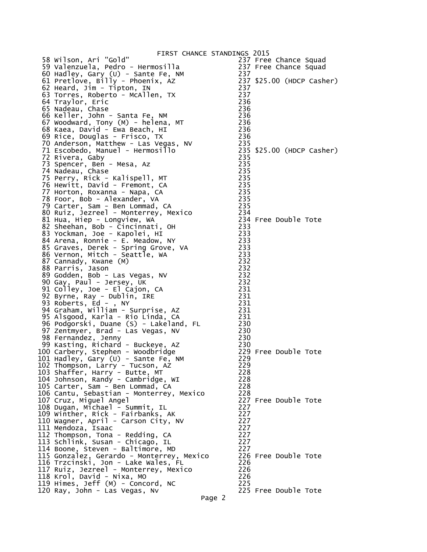| FIRST CHANCE STANDINGS 2015                                                                                                                        |                  |                           |
|----------------------------------------------------------------------------------------------------------------------------------------------------|------------------|---------------------------|
| 58 Wilson, Ari "Gold"                                                                                                                              |                  | 237 Free Chance Squad     |
| 59 Valenzuela, Pedro - Hermosilla                                                                                                                  |                  | 237 Free Chance Squad     |
| 60 Hadley, Gary (U) - Sante Fe, NM                                                                                                                 | 237              |                           |
| 61 Pretlove, Billy - Phoenix, AZ                                                                                                                   |                  | 237 \$25.00 (HDCP Casher) |
| 62 Heard, Jim - Tipton, IN                                                                                                                         | 237              |                           |
| 63 Torres, Roberto - McAllen, TX                                                                                                                   | 237              |                           |
| 64 Traylor, Eric                                                                                                                                   | 236              |                           |
|                                                                                                                                                    | 236              |                           |
| 65 Nadeau, Chase<br>66 Keller, John - Santa Fe, NM                                                                                                 | 236              |                           |
| 67 Woodward, Tony (M) - helena, MT                                                                                                                 | 236              |                           |
| 68 Kaea, David - Ewa Beach, HI                                                                                                                     | 236              |                           |
| 69 Rice, Douglas - Frisco, TX                                                                                                                      | 236              |                           |
| 70 Anderson, Matthew - Las Vegas, NV                                                                                                               | 235              |                           |
| 71 Escobedo, Manuel - Hermosillo                                                                                                                   |                  | 235 \$25.00 (HDCP Casher) |
| 72 Rivera, Gaby                                                                                                                                    | 235              |                           |
| 73 Spencer, Ben - Mesa, Az                                                                                                                         | 235              |                           |
| 74 Nadeau, Chase                                                                                                                                   | 235              |                           |
|                                                                                                                                                    | 235              |                           |
| 75 Perry, Rick - Kalispell, MT                                                                                                                     | 235              |                           |
| 76 Hewitt, David - Fremont, CA                                                                                                                     |                  |                           |
| 77 Horton, Roxanna - Napa, CA                                                                                                                      | 235              |                           |
| 78 Foor, Bob - Alexander, VA                                                                                                                       | 235              |                           |
| 79 Carter, Sam - Ben Lommad, CA<br>79 Carter, Sam - Den Lommac, Thexico (1984)<br>80 Ruiz, Jezreel - Monterrey, Mexico (1984) 234 Free Double Tote | 235              |                           |
|                                                                                                                                                    |                  |                           |
|                                                                                                                                                    |                  |                           |
| 82 Sheehan, Bob - Cincinnati, OH                                                                                                                   | 233              |                           |
| 83 Yockman, Joe - Kapolei, HI                                                                                                                      | 233              |                           |
| 84 Arena, Ronnie - E. Meadow, NY                                                                                                                   | $\frac{1}{2}$ 33 |                           |
| 85 Graves, Derek - Spring Grove, VA                                                                                                                | 233              |                           |
| 86 Vernon, Mitch - Seattle, WA                                                                                                                     | 233              |                           |
| 87 Cannady, Kwane (M)                                                                                                                              | 232              |                           |
| 88 Parris, Jason                                                                                                                                   | 232              |                           |
| 89 Godden, Bob - Las Vegas, NV                                                                                                                     | 232              |                           |
| 90 Gay, Paul - Jersey, UK                                                                                                                          | 232              |                           |
| 91 Colley, Joe - El Cajon, CA                                                                                                                      | 231              |                           |
| 92 Byrne, Ray - Dublin, IRE                                                                                                                        | 231              |                           |
| 93 Roberts, Ed - , NY                                                                                                                              | 231              |                           |
| 94 Graham, William - Surprise, AZ                                                                                                                  | 231              |                           |
| 95 Alsgood, Karla - Rio Linda, CA                                                                                                                  | 231              |                           |
| 96 Podgorski, Duane (S) - Lakeland, FL                                                                                                             | 230              |                           |
| 97 Zentmyer, Brad - Las Vegas, NV                                                                                                                  | 230              |                           |
| 98 Fernandez, Jenny                                                                                                                                | 230              |                           |
| 99 Kasting, Richard - Buckeye, AZ                                                                                                                  | 230              |                           |
| 100 Carbery, Stephen - Woodbridge                                                                                                                  |                  | 229 Free Double Tote      |
| 101 Hadley, Gary (U) - Sante Fe, NM                                                                                                                | 229              |                           |
| 102 Thompson, Larry - Tucson, AZ                                                                                                                   | 229              |                           |
| 103 Shaffer, Harry - Butte, MT                                                                                                                     | 228              |                           |
| 104 Johnson, Randy - Cambridge, WI                                                                                                                 | 228              |                           |
| 105 Carter, Sam - Ben Lommad, CA                                                                                                                   | 228              |                           |
| 106 Cantu, Sebastian - Monterrey, Mexico                                                                                                           | 228              |                           |
| 107 Cruz, Miguel Angel                                                                                                                             |                  | 227 Free Double Tote      |
| 108 Dugan, Michael - Summit, IL                                                                                                                    | 227              |                           |
| 109 Winther, Rick - Fairbanks, AK                                                                                                                  | 227              |                           |
| 110 Wagner, April - Carson City, NV                                                                                                                | 227              |                           |
| 111 Mendoza, Isaac                                                                                                                                 | 227              |                           |
|                                                                                                                                                    | 227              |                           |
| 112 Thompson, Tona - Redding, CA                                                                                                                   | 227              |                           |
| 113 Schlink, Susan - Chicago, IL                                                                                                                   |                  |                           |
| 114 Boone, Steven - Baltimore, MD                                                                                                                  | 227              |                           |
| 115 Gonzalez, Gerardo - Monterrey, Mexico                                                                                                          |                  | 226 Free Double Tote      |
| 116 Trzcinski, Jon - Lake Wales, FL                                                                                                                | 226              |                           |
| 117 Ruiz, Jezreel - Monterrey, Mexico                                                                                                              | 226              |                           |
| 118 Krol, David - Nixa, MO                                                                                                                         | 226              |                           |
| 119 Himes, Jeff (M) - Concord, NC                                                                                                                  | 225              |                           |
| 120 Ray, John - Las Vegas, Nv                                                                                                                      |                  | 225 Free Double Tote      |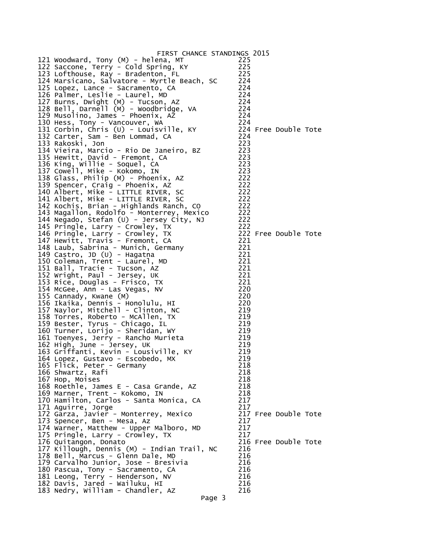| FIRST CHANCE STANDINGS 2015                                      |            |                      |  |
|------------------------------------------------------------------|------------|----------------------|--|
| 121 Woodward, Tony (M) - helena, MT                              | 225        |                      |  |
| 122 Saccone, Terry - Cold Spring, KY                             | 225        |                      |  |
| 123 Lofthouse, Ray - Bradenton, FL                               | 225        |                      |  |
| 124 Marsicano, Salvatore - Myrtle Beach, SC                      | 224        |                      |  |
| 125 Lopez, Lance - Sacramento, CA                                | 224        |                      |  |
| 126 Palmer, Leslie - Laurel, MD                                  | 224        |                      |  |
| 127 Burns, Dwight (M) - Tucson, AZ                               | 224        |                      |  |
| 128 Bell, Darnell (M) - Woodbridge, VA                           | 224        |                      |  |
| 129 Musolino, James - Phoenix, AZ                                | 224        |                      |  |
| 130 Hess, Tony - Vancouver, WA                                   | 224        |                      |  |
| 131 Corbin, Chris (U) - Louisville, KY                           |            | 224 Free Double Tote |  |
| 132 Carter, Sam - Ben Lommad, CA                                 | 224        |                      |  |
| 133 Rakoski, Jon                                                 | 223        |                      |  |
| 134 Vieira, Marcio - Rio De Janeiro, BZ                          | 223        |                      |  |
| 135 Hewitt, David - Fremont, CA<br>136 King, Willie - Soquel, CA | 223        |                      |  |
|                                                                  | 223        |                      |  |
| 137 Cowell, Mike - Kokomo, IN                                    | 223        |                      |  |
| 138 Glass, Philip (M) - Phoenix, AZ                              | 222        |                      |  |
| 139 Spencer, Craig - Phoenix, AZ                                 | 222        |                      |  |
| 140 Albert, Mike - LITTLE RIVER, SC                              | 222        |                      |  |
| 141 Albert, Mike - LITTLE RIVER, SC                              | 222        |                      |  |
| 142 Kochis, Brian - Highlands Ranch, CO                          | 222        |                      |  |
| 143 Magallon, Rodolfo - Monterrey, Mexico                        | 222        |                      |  |
| 144 Negado, Stefan (U) - Jersey City, NJ                         | 222        |                      |  |
| 145 Pringle, Larry - Crowley, TX                                 | 222        |                      |  |
| 146 Pringle, Larry - Crowley, TX                                 |            | 222 Free Double Tote |  |
| 147 Hewitt, Travis - Fremont, CA                                 | 221        |                      |  |
| 148 Laub, Sabrina - Munich, Germany                              | 221        |                      |  |
| 149 Castro, JD (U) - Hagatna                                     | 221        |                      |  |
| 150 Coleman, Trent - Laurel, MD                                  | 221        |                      |  |
| 151 Ball, Tracie - Tucson, AZ                                    | 221        |                      |  |
| 152 Wright, Paul - Jersey, UK                                    | 221        |                      |  |
| 153 Rice, Douglas - Frisco, TX                                   | 221        |                      |  |
| 154 McGee, Ann - Las Vegas, NV                                   | 220        |                      |  |
| 155 Cannady, Kwane (M)                                           | 220        |                      |  |
| 156 Ikaika, Dennis - Honolulu, HI                                | 220        |                      |  |
| 157 Naylor, Mitchell - Clinton, NC                               | 219        |                      |  |
| 158 Torres, Roberto - McAllen, TX                                | 219        |                      |  |
| 159 Bester, Tyrus - Chicago, IL                                  | 219        |                      |  |
| 160 Turner, Lorijo - Sheridan, WY                                | 219        |                      |  |
| 161 Toenyes, Jerry - Rancho Murieta                              | 219        |                      |  |
| 162 High, June - Jersey, UK                                      | 219        |                      |  |
| 163 Griffanti, Kevin - Lousiville, KY                            | 219        |                      |  |
| 164 Lopez, Gustavo - Escobedo, MX                                | 219        |                      |  |
| 165 Flick, Peter - Germany                                       | 218        |                      |  |
| 166 Shwartz, Rafi                                                | 218        |                      |  |
| 167 Hop, Moises                                                  | 218<br>218 |                      |  |
| 168 Roethle, James E - Casa Grande, AZ                           | 218        |                      |  |
| 169 Marner, Trent - Kokomo, IN                                   | 217        |                      |  |
| 170 Hamilton, Carlos - Santa Monica, CA<br>171 Aguirre, Jorge    | 217        |                      |  |
| 172 Garza, Javier - Monterrey, Mexico                            |            | 217 Free Double Tote |  |
| 173 Spencer, Ben - Mesa, Az                                      | 217        |                      |  |
| 174 Warner, Matthew - Upper Malboro, MD                          | 217        |                      |  |
| 175 Pringle, Larry - Crowley, TX                                 | 217        |                      |  |
| 176 Quitangon, Donato                                            |            | 216 Free Double Tote |  |
| 177 Killough, Dennis (M) - Indian Trail, NC                      | 216        |                      |  |
| 178 Bell, Marcus - Glenn Dale, MD                                | 216        |                      |  |
| 179 Carvalho Junior, Jose - Bresivia                             | 216        |                      |  |
| 180 Pascua, Tony - Sacramento, CA                                | 216        |                      |  |
| 181 Leong, Terry - Henderson, NV                                 | 216        |                      |  |
| 182 Davis, Jared - Wailuku, HI                                   | 216        |                      |  |
| 183 Nedry, William - Chandler, AZ                                | 216        |                      |  |
| Page 3                                                           |            |                      |  |
|                                                                  |            |                      |  |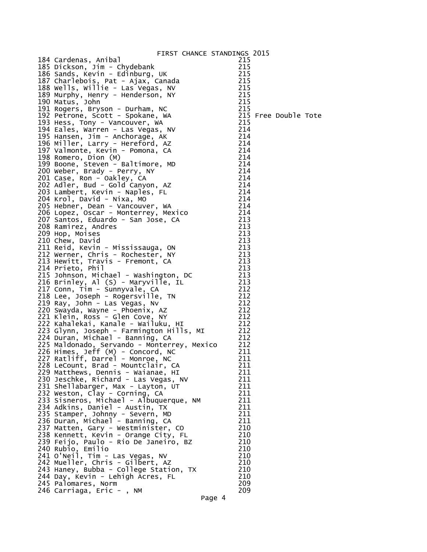| 184 Cardenas, Anibal                        | 215                  |
|---------------------------------------------|----------------------|
| 185 Dickson, Jim - Chydebank                | 215                  |
| 186 Sands, Kevin - Edinburg, UK             | 215                  |
| 187 Charlebois, Pat - Ajax, Canada          | 215                  |
| 188 Wells, Willie - Las Vegas, NV           | 215                  |
| 189 Murphy, Henry - Henderson, NY           | 215                  |
| 190 Matus, John                             | 215                  |
| 191 Rogers, Bryson - Durham, NC             | 215                  |
| 192 Petrone, Scott - Spokane, WA            | 215 Free Double Tote |
| 193 Hess, Tony - Vancouver, WA              | 215                  |
| 194 Eales, Warren - Las Vegas, NV           | 214                  |
| 195 Hansen, Jim - Anchorage, AK             | 214                  |
| 196 Miller, Larry - Hereford, AZ            | 214                  |
| 197 Valmonte, Kevin - Pomona, CA            | 214                  |
| 198 Romero, Dion (M)                        | 214                  |
| 199 Boone, Steven - Baltimore, MD           | 214                  |
| 200 Weber, Brady - Perry, NY                | 214                  |
| 201 Case, Ron - Oakley, CA                  | 214                  |
| 202 Adler, Bud - Gold Canyon, AZ            | 214                  |
| 203 Lambert, Kevin - Naples, FL             | 214                  |
| 204 Krol, David - Nixa, MO                  | 214                  |
| 205 Hebner, Dean - Vancouver, WA            | 214                  |
| 206 Lopez, Oscar - Monterrey, Mexico        | 214                  |
| 207 Santos, Eduardo - San Jose, CA          | 213                  |
| 208 Ramirez, Andres                         | 213                  |
| 209 Hop, Moises                             | 213                  |
| 210 Chew, David                             | 213                  |
| 211 Reid, Kevin - Mississauga, ON           | 213                  |
| 212 Werner, Chris - Rochester, NY           | 213                  |
| 213 Hewitt, Travis - Fremont, CA            | 213                  |
| 214 Prieto, Phil                            | 213                  |
| 215 Johnson, Michael - Washington, DC       | 213                  |
| 216 Brinley, Al (S) - Maryville, IL         | 213                  |
| 217 Conn, Tim - Sunnyvale, CA               | 212                  |
| 218 Lee, Joseph - Rogersville, TN           | 212                  |
| 219 Ray, John - Las Vegas, Nv               | 212                  |
| 220 Swayda, Wayne - Phoenix, AZ             | 212                  |
| 221 Klein, Ross - Glen Cove, NY             | 212                  |
| 222 Kahalekai, Kanale - Wailuku, HI         | 212                  |
| 223 Glynn, Joseph - Farmington Hills, MI    | 212                  |
| 224 Duran, Michael - Banning, CA            | 212                  |
| 225 Maldonado, Servando - Monterrey, Mexico | 212                  |
| 226 Himes, Jeff (M) - Concord, NC           | 211                  |
| 227 Ratliff, Darrel - Monroe, NC            | 211                  |
| 228 LeCount, Brad - Mountclair, CA          | 211                  |
| 229 Matthews, Dennis - Waianae, HI          | 211                  |
| 230 Jeschke, Richard - Las Vegas, NV        | 211                  |
| 231 Shellabarger, Max - Layton, UT          | 211                  |
| 232 Weston, Clay - Corning, CA              | 211                  |
| 233 Sisneros, Michael - Albuquerque, NM     | 211                  |
| 234 Adkins, Daniel - Austin, TX             | 211                  |
| 235 Stamper, Johnny - Severn, MD            | 211                  |
| 236 Duran, Michael - Banning, CA            | 211                  |
| 237 Matten, Gary - Westminister, CO         | 210                  |
| 238 Kennett, Kevin - Orange City, FL        | 210                  |
| 239 Feijo, Paulo - Rio De Janeiro, BZ       | 210                  |
| 240 Rubio, Emilio                           | 210                  |
| 241 O'Neil, Tim - Las Vegas, NV             | 210                  |
| 242 Mueller, Chris - Gilbert, AZ            | 210                  |
| 243 Haney, Bubba - College Station, TX      | 210                  |
| 244 Day, Kevin - Lehigh Acres, FL           | 210                  |
| 245 Palomares, Norm                         | 209                  |
| 246 Carriaga, Eric - , NM                   | 209                  |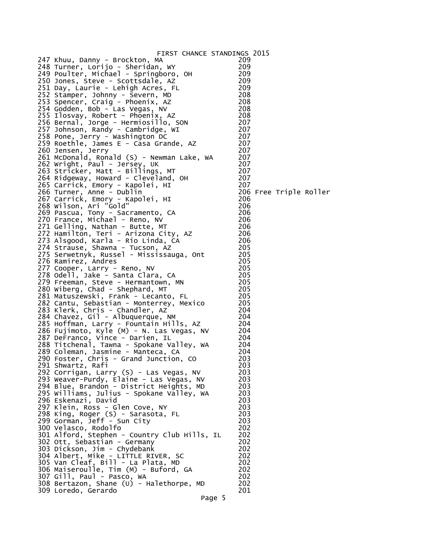| FIRST CHANCE STANDINGS 2015                  |     |                        |  |
|----------------------------------------------|-----|------------------------|--|
| 247 Khuu, Danny - Brockton, MA               | 209 |                        |  |
| 248 Turner, Lorijo - Sheridan, WY            | 209 |                        |  |
| 249 Poulter, Michael - Springboro, OH        | 209 |                        |  |
| 250 Jones, Steve - Scottsdale, AZ            | 209 |                        |  |
| 251 Day, Laurie - Lehigh Acres, FL           | 209 |                        |  |
| 252 Stamper, Johnny - Severn, MD             | 208 |                        |  |
| 253 Spencer, Craig - Phoenix, AZ             | 208 |                        |  |
| 254 Godden, Bob - Las Vegas, NV              | 208 |                        |  |
| 255 Ilosvay, Robert - Phoenix, AZ            | 208 |                        |  |
| 256 Bernal, Jorge - Hermiosillo, SON         | 207 |                        |  |
| 257 Johnson, Randy - Cambridge, WI           | 207 |                        |  |
|                                              |     |                        |  |
| 258 Pone, Jerry - Washington DC              | 207 |                        |  |
| 259 Roethle, James E - Casa Grande, AZ       | 207 |                        |  |
| 260 Jensen, Jerry                            | 207 |                        |  |
| 261 McDonald, Ronald (S) - Newman Lake, WA   | 207 |                        |  |
| 262 Wright, Paul - Jersey, UK                | 207 |                        |  |
| 263 Stricker, Matt - Billings, MT            | 207 |                        |  |
| 264 Ridgeway, Howard - Cleveland, OH         | 207 |                        |  |
| 265 Carrick, Emory - Kapolei, HI             | 207 |                        |  |
| 266 Turner, Anne - Dublin                    |     | 206 Free Triple Roller |  |
| 267 Carrick, Emory - Kapolei, HI             | 206 |                        |  |
| 268 Wilson, Ari "Gold"                       | 206 |                        |  |
| 269 Pascua, Tony - Sacramento, CA            | 206 |                        |  |
| 270 France, Michael - Reno, NV               | 206 |                        |  |
| 271 Gelling, Nathan - Butte, MT              | 206 |                        |  |
| 272 Hamilton, Teri - Arizona City, AZ        | 206 |                        |  |
| 273 Alsgood, Karla - Rio Linda, CA           | 206 |                        |  |
| 274 Strause, Shawna - Tucson, AZ             | 205 |                        |  |
| 275 Serwetnyk, Russel - Mississauga, Ont     | 205 |                        |  |
| 276 Ramirez, Andres                          | 205 |                        |  |
| 277 Cooper, Larry - Reno, NV                 | 205 |                        |  |
| 278 Odell, Jake - Santa Clara, CA            | 205 |                        |  |
| 279 Freeman, Steve - Hermantown, MN          | 205 |                        |  |
| 280 Wiberg, Chad - Shephard, MT              | 205 |                        |  |
| 281 Matuszewski, Frank - Lecanto, FL         | 205 |                        |  |
| 282 Cantu, Sebastian - Monterrey, Mexico     | 205 |                        |  |
| 283 Klerk, Chris - Chandler, AZ              | 204 |                        |  |
|                                              | 204 |                        |  |
| 284 Chavez, Gil - Albuquerque, NM            |     |                        |  |
| 285 Hoffman, Larry - Fountain Hills, AZ      | 204 |                        |  |
| 286 Fujimoto, Kyle (M) - N. Las Vegas, NV    | 204 |                        |  |
| 287 DeFranco, Vince - Darien, IL             | 204 |                        |  |
| 288 Titchenal, Tawna - Spokane Valley, WA    | 204 |                        |  |
| 289 Coleman, Jasmine - Manteca, CA           | 204 |                        |  |
| 290 Foster, Chris - Grand Junction, CO       | 203 |                        |  |
| 291 Shwartz, Rafi                            | 203 |                        |  |
| 292 Corrigan, Larry (S) - Las Vegas, NV      | 203 |                        |  |
| 293 Weaver-Purdy, Elaine - Las Vegas, NV     | 203 |                        |  |
| 294 Blue, Brandon - District Heights, MD     | 203 |                        |  |
| 295 Williams, Julius - Spokane Valley, WA    | 203 |                        |  |
| 296 Eskenazi, David                          | 203 |                        |  |
| 297 Klein, Ross - Glen Cove, NY              | 203 |                        |  |
| 298 King, Roger (S) - Sarasota, FL           | 203 |                        |  |
| 299 Gorman, Jeff - Sun City                  | 203 |                        |  |
| 300 Velasco, Rodolfo                         | 202 |                        |  |
| 301 Alford, Stephen - Country Club Hills, IL | 202 |                        |  |
| 302 Ott, Sebastian - Germany                 | 202 |                        |  |
| 303 Dickson, Jim - Chydebank                 | 202 |                        |  |
| 304 Albert, Mike - LITTLE RIVER, SC          | 202 |                        |  |
| 305 Van Cleaf, Bill - La Plata, MD           | 202 |                        |  |
| 306 Maiseroulle, Tim (M) - Buford, GA        | 202 |                        |  |
| 307 Gill, Paul - Pasco, WA                   | 202 |                        |  |
| 308 Bertazon, Shane (U) - Halethorpe, MD     | 202 |                        |  |
| 309 Loredo, Gerardo                          | 201 |                        |  |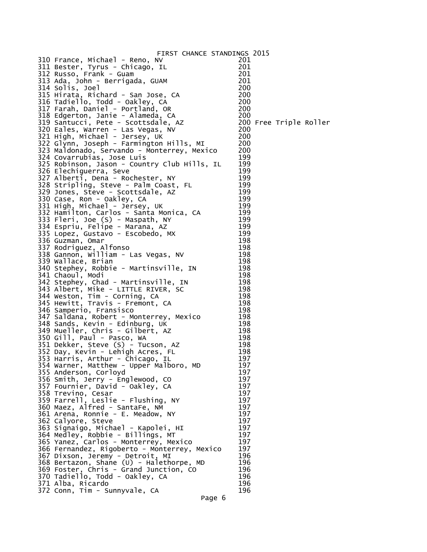| FIRST CHANCE STANDINGS 2015                                                                                                                                                                                                                                                           |        |                        |  |
|---------------------------------------------------------------------------------------------------------------------------------------------------------------------------------------------------------------------------------------------------------------------------------------|--------|------------------------|--|
| 310 France, Michael - Reno, NV                                                                                                                                                                                                                                                        | 201    |                        |  |
| 311 Bester, Tyrus - Chicago, IL                                                                                                                                                                                                                                                       | 201    |                        |  |
| 312 Russo, Frank - Guam                                                                                                                                                                                                                                                               | 201    |                        |  |
| 313 Ada, John - Berrigada, GUAM                                                                                                                                                                                                                                                       | 201    |                        |  |
| 314 Solis, Joel                                                                                                                                                                                                                                                                       | 200    |                        |  |
| 315 Hirata, Richard - San Jose, CA                                                                                                                                                                                                                                                    | 200    |                        |  |
| 316 Tadiello, Todd - Oakley, CA                                                                                                                                                                                                                                                       | 200    |                        |  |
| 317 Farah, Daniel - Portland, OR                                                                                                                                                                                                                                                      | 200    |                        |  |
| 318 Edgerton, Janie - Alameda, CA                                                                                                                                                                                                                                                     | 200    |                        |  |
| 319 Santucci, Pete - Scottsdale, AZ                                                                                                                                                                                                                                                   |        | 200 Free Triple Roller |  |
| 320 Eales, Warren - Las Vegas, NV                                                                                                                                                                                                                                                     | 200    |                        |  |
| 321 High, Michael - Jersey, UK                                                                                                                                                                                                                                                        | 200    |                        |  |
| 322 Glynn, Joseph - Farmington Hills, MI                                                                                                                                                                                                                                              | 200    |                        |  |
| 323 Maldonado, Servando - Monterrey, Mexico                                                                                                                                                                                                                                           | 200    |                        |  |
| 324 Covarrubias, Jose Luis                                                                                                                                                                                                                                                            | 199    |                        |  |
| 325 Robinson, Jason - Country Club Hills, IL                                                                                                                                                                                                                                          | 199    |                        |  |
| 326 Elechiguerra, Seve                                                                                                                                                                                                                                                                | 199    |                        |  |
| 327 Alberti, Dena - Rochester, NY                                                                                                                                                                                                                                                     | 199    |                        |  |
| 328 Stripling, Steve - Palm Coast, FL<br>, Non - Oakley, CA<br>331 High, Michael - Jersey, UK<br>332 Hamilton, Carlos - Santa Monica, CA<br>333 Fleri, Joe (S) - Maspath, NY<br>334 Espriu, Felipe - Marana, AZ<br>335 Lopez, Gustavo - Escobedo, MX<br>336 Guzman, Omar<br>337 Rodri | 199    |                        |  |
|                                                                                                                                                                                                                                                                                       | 199    |                        |  |
|                                                                                                                                                                                                                                                                                       | 199    |                        |  |
|                                                                                                                                                                                                                                                                                       | 199    |                        |  |
|                                                                                                                                                                                                                                                                                       | 199    |                        |  |
|                                                                                                                                                                                                                                                                                       | 199    |                        |  |
|                                                                                                                                                                                                                                                                                       | 199    |                        |  |
|                                                                                                                                                                                                                                                                                       | 199    |                        |  |
|                                                                                                                                                                                                                                                                                       | 198    |                        |  |
| 336 Guzman, Omar<br>337 Rodriguez, Alfonso<br>338 Gannon, William - Las Vegas, NV                                                                                                                                                                                                     | 198    |                        |  |
|                                                                                                                                                                                                                                                                                       | 198    |                        |  |
| 339 Wallace, Brian                                                                                                                                                                                                                                                                    | 198    |                        |  |
| 340 Stephey, Robbie - Martinsville, IN                                                                                                                                                                                                                                                | 198    |                        |  |
| 341 Chaoul, Modi                                                                                                                                                                                                                                                                      | 198    |                        |  |
| 342 Stephey, Chad - Martinsville, IN                                                                                                                                                                                                                                                  | 198    |                        |  |
| 343 Albert, Mike - LITTLE RIVER, SC                                                                                                                                                                                                                                                   | 198    |                        |  |
|                                                                                                                                                                                                                                                                                       | 198    |                        |  |
| 344 Weston, Tim - Corning, CA<br>345 Hewitt, Travis - Fremont, CA                                                                                                                                                                                                                     | 198    |                        |  |
| 346 Samperio, Fransisco                                                                                                                                                                                                                                                               | 198    |                        |  |
| 347 Saldana, Robert - Monterrey, Mexico                                                                                                                                                                                                                                               | 198    |                        |  |
| 348 Sands, Kevin - Edinburg, UK                                                                                                                                                                                                                                                       | 198    |                        |  |
| 349 Mueller, Chris - Gilbert, AZ                                                                                                                                                                                                                                                      | 198    |                        |  |
| 350 Gill, Paul - Pasco, WA                                                                                                                                                                                                                                                            | 198    |                        |  |
| 351 Dekker, Steve (S) - Tucson, AZ                                                                                                                                                                                                                                                    | 198    |                        |  |
| 352 Day, Kevin - Lehigh Acres, FL                                                                                                                                                                                                                                                     | 198    |                        |  |
| 353 Harris, Arthur - Chicago, IL                                                                                                                                                                                                                                                      | 197    |                        |  |
| 354 Warner, Matthew - Upper Malboro, MD                                                                                                                                                                                                                                               | 197    |                        |  |
| 355 Anderson, Corloyd                                                                                                                                                                                                                                                                 | 197    |                        |  |
| 356 Smith, Jerry - Englewood, CO                                                                                                                                                                                                                                                      | 197    |                        |  |
| 357 Fournier, David - Oakley, CA                                                                                                                                                                                                                                                      | 197    |                        |  |
| 358 Trevino, Cesar                                                                                                                                                                                                                                                                    | 197    |                        |  |
| 359 Farrell, Leslie - Flushing, NY                                                                                                                                                                                                                                                    | 197    |                        |  |
| 360 Maez, Alfred - SantaFe, NM                                                                                                                                                                                                                                                        | 197    |                        |  |
| 361 Arena, Ronnie - E. Meadow, NY                                                                                                                                                                                                                                                     | 197    |                        |  |
| 362 Calyore, Steve                                                                                                                                                                                                                                                                    | 197    |                        |  |
| 363 Signaigo, Michael - Kapolei, HI                                                                                                                                                                                                                                                   | 197    |                        |  |
| 364 Medley, Robbie - Billings, MT                                                                                                                                                                                                                                                     | 197    |                        |  |
| 365 Yanez, Carlos - Monterrey, Mexico                                                                                                                                                                                                                                                 | 197    |                        |  |
| 366 Fernandez, Rigoberto - Monterrey, Mexico                                                                                                                                                                                                                                          | 197    |                        |  |
| 367 Dixson, Jeremy - Detroit, MI                                                                                                                                                                                                                                                      | 196    |                        |  |
| 368 Bertazon, Shane (U) - Halethorpe, MD                                                                                                                                                                                                                                              | 196    |                        |  |
| 369 Foster, Chris - Grand Junction, CO                                                                                                                                                                                                                                                | 196    |                        |  |
| 370 Tadiello, Todd - Oakley, CA                                                                                                                                                                                                                                                       | 196    |                        |  |
| 371 Alba, Ricardo                                                                                                                                                                                                                                                                     | 196    |                        |  |
| 372 Conn, Tim - Sunnyvale, CA                                                                                                                                                                                                                                                         | 196    |                        |  |
|                                                                                                                                                                                                                                                                                       | Page 6 |                        |  |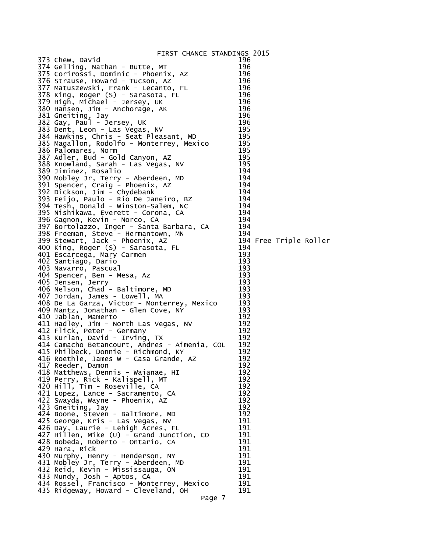|                                                                    | FIRST CHANCE STANDINGS 2015 |                        |  |
|--------------------------------------------------------------------|-----------------------------|------------------------|--|
| 373 Chew, David                                                    | 196                         |                        |  |
| 374 Gelling, Nathan - Butte, MT                                    | 196                         |                        |  |
| 375 Corirossi, Dominic - Phoenix, AZ                               | 196                         |                        |  |
| 376 Strause, Howard - Tucson, AZ                                   | 196                         |                        |  |
| 377 Matuszewski, Frank - Lecanto, FL                               | 196                         |                        |  |
| 378 King, Roger (S) - Sarasota, FL                                 | 196                         |                        |  |
| 379 High, Michael - Jersey, UK                                     | 196                         |                        |  |
| 380 Hansen, Jim - Anchorage, AK                                    | 196                         |                        |  |
| 381 Gneiting, Jay                                                  | 196                         |                        |  |
| 382 Gay, Paul - Jersey, UK                                         | 196                         |                        |  |
| 383 Dent, Leon - Las Vegas, NV                                     | 195                         |                        |  |
| 384 Hawkins, Chris - Seat Pleasant, MD                             | 195                         |                        |  |
| 385 Magallon, Rodolfo - Monterrey, Mexico                          | 195                         |                        |  |
| 386 Palomares, Norm                                                | 195                         |                        |  |
| 387 Adler, Bud - Gold Canyon, AZ                                   | 195                         |                        |  |
| 388 Knowland, Sarah - Las Vegas, NV                                | 195                         |                        |  |
| 389 Jiminez, Rosalio                                               | 194                         |                        |  |
| 390 Mobley Jr, Terry - Aberdeen, MD                                | 194                         |                        |  |
| 391 Spencer, Craig - Phoenix, AZ                                   | 194                         |                        |  |
| 392 Dickson, Jim - Chydebank                                       | 194                         |                        |  |
| 393 Feijo, Paulo - Rio De Janeiro, BZ                              | $\overline{1}94$            |                        |  |
| 394 Tesh, Donald - Winston-Salem, NC                               | 194                         |                        |  |
| 395 Nishikawa, Everett - Corona, CA                                | 194                         |                        |  |
| 396 Gagnon, Kevin - Norco, CA                                      | 194                         |                        |  |
| 397 Bortolazzo, Inger - Santa Barbara, CA                          | 194                         |                        |  |
|                                                                    | 194                         |                        |  |
| 398 Freeman, Steve - Hermantown, MN                                |                             | 194 Free Triple Roller |  |
| 399 Stewart, Jack - Phoenix, AZ                                    | 194                         |                        |  |
| 400 King, Roger (S) - Sarasota, FL                                 | 193                         |                        |  |
| 401 Escarcega, Mary Carmen                                         | 193                         |                        |  |
| 402 Santiago, Dario                                                | 193                         |                        |  |
| 403 Navarro, Pascual                                               | 193                         |                        |  |
| 404 Spencer, Ben - Mesa, Az<br>405 Jensen, Jerry                   | 193                         |                        |  |
|                                                                    | 193                         |                        |  |
| 406 Nelson, Chad - Baltimore, MD<br>407 Jordan, James - Lowell, MA | 193                         |                        |  |
| 408 De La Garza, Victor - Monterrey, Mexico                        | 193                         |                        |  |
|                                                                    | 193                         |                        |  |
| 409 Mantz, Jonathan - Glen Cove, NY<br>410 Jablan, Mamerto         | 192                         |                        |  |
|                                                                    |                             |                        |  |
| 411 Hadley, Jim - North Las Vegas, NV                              | 192<br>192                  |                        |  |
| 412 Flick, Peter - Germany                                         | 192                         |                        |  |
| 413 Kurlan, David - Irving, TX                                     | 192                         |                        |  |
| 414 Camacho Betancourt, Andres - Aimenia, COL                      | 192                         |                        |  |
| 415 Philbeck, Donnie - Richmond, KY                                |                             |                        |  |
| 416 Roethle, James W - Casa Grande, AZ                             | 192                         |                        |  |
| 417 Reeder, Damon                                                  | 192                         |                        |  |
| 418 Matthews, Dennis - Waianae, HI                                 | 192                         |                        |  |
| 419 Perry, Rick - Kalispell, MT                                    | 192                         |                        |  |
| 420 Hill, Tim - Roseville, CA                                      | 192                         |                        |  |
| 421 Lopez, Lance - Sacramento, CA                                  | 192                         |                        |  |
| 422 Swayda, Wayne - Phoenix, AZ                                    | 192                         |                        |  |
| 423 Gneiting, Jay                                                  | 192                         |                        |  |
| 424 Boone, Steven - Baltimore, MD                                  | 192                         |                        |  |
| 425 George, Kris - Las Vegas, NV                                   | 191                         |                        |  |
| 426 Day, Laurie - Lehigh Acres, FL                                 | 191                         |                        |  |
| $427$ Hillen, Mike (U) - Grand Junction, CO                        | 191                         |                        |  |
| 428 Bobeda, Roberto - Ontario, CA                                  | 191                         |                        |  |
| 429 Hara, Rick                                                     | 191                         |                        |  |
| 430 Murphy, Henry - Henderson, NY                                  | 191                         |                        |  |
| 431 Mobley Jr, Terry - Aberdeen, MD                                | 191                         |                        |  |
| 432 Reid, Kevin - Mississauga, ON                                  | 191                         |                        |  |
| 433 Mundy, Josh - Aptos, CA                                        | 191                         |                        |  |
| 434 Rossel, Francisco - Monterrey, Mexico                          | 191                         |                        |  |
| 435 Ridgeway, Howard - Cleveland, OH                               | 191                         |                        |  |
|                                                                    | Page 7                      |                        |  |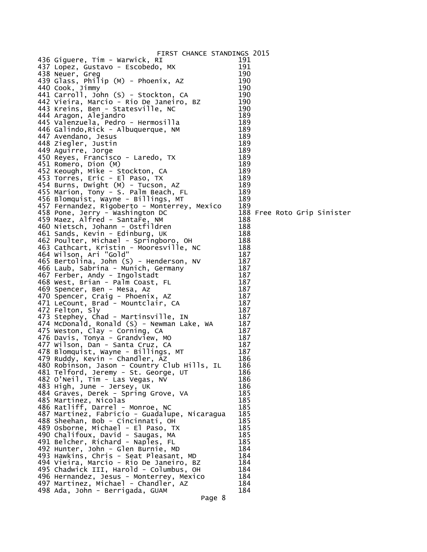| FIRST CHANCE STANDINGS 2015                                                       |            |  |                             |
|-----------------------------------------------------------------------------------|------------|--|-----------------------------|
| 436 Giguere, Tim - Warwick, RI                                                    | 191        |  |                             |
| 437 Lopez, Gustavo - Escobedo, MX                                                 | 191        |  |                             |
| 438 Neuer, Greg                                                                   | 190        |  |                             |
| 439 Glass, Philip (M) - Phoenix, AZ                                               | 190        |  |                             |
| 440 Cook, Jimmy                                                                   | 190        |  |                             |
| 441 Carroll, John (S) - Stockton, CA                                              | 190        |  |                             |
| 442 Vieira, Marcio - Rio De Janeiro, BZ                                           | 190        |  |                             |
| 443 Kreins, Ben - Statesville, NC                                                 | 190        |  |                             |
| 444 Aragon, Alejandro                                                             | 189        |  |                             |
| 445 Valenzuela, Pedro - Hermosilla                                                | 189        |  |                             |
| 446 Galindo, Rick - Albuquerque, NM                                               | 189        |  |                             |
| 447 Avendano, Jesus                                                               | 189        |  |                             |
| 448 Ziegler, Justin                                                               | 189        |  |                             |
| 449 Aguirre, Jorge                                                                | 189        |  |                             |
| 450 Reyes, Francisco - Laredo, TX                                                 | 189        |  |                             |
| 451 Romero, Dion (M)                                                              | 189        |  |                             |
| 452 Keough, Mike - Stockton, CA                                                   | 189        |  |                             |
| 453 Torres, Eric - El Paso, TX                                                    | 189        |  |                             |
| 454 Burns, Dwight (M) - Tucson, AZ                                                | 189        |  |                             |
| 455 Marion, Tony - S. Palm Beach, FL                                              | 189        |  |                             |
| 456 Blomquist, Wayne - Billings, MT                                               | 189        |  |                             |
| 457 Fernandez, Rigoberto - Monterrey, Mexico                                      | 189        |  |                             |
| 458 Pone, Jerry - Washington DC                                                   |            |  | 188 Free Roto Grip Sinister |
| 459 Maez, Alfred - SantaFe, NM                                                    | 188        |  |                             |
| 460 Nietsch, Johann - Ostfildren                                                  | 188<br>188 |  |                             |
| 461 Sands, Kevin - Edinburg, UK                                                   | 188        |  |                             |
| 462 Poulter, Michael - Springboro, OH<br>463 Cathcart, Kristin - Mooresville, NC  | 188        |  |                             |
| 464 Wilson, Ari "Gold"                                                            | 187        |  |                             |
| 465 Bertolina, John (S) - Henderson, NV                                           | 187        |  |                             |
| 466 Laub, Sabrina - Munich, Germany                                               | 187        |  |                             |
| 467 Ferber, Andy - Ingolstadt                                                     | 187        |  |                             |
| 468 West, Brian - Palm Coast, FL                                                  | 187        |  |                             |
| 469 Spencer, Ben - Mesa, Az                                                       | 187        |  |                             |
| 470 Spencer, Craig - Phoenix, AZ                                                  | 187        |  |                             |
| 471 LeCount, Brad - Mountclair, CA                                                | 187        |  |                             |
| 472 Felton, Sly                                                                   | 187        |  |                             |
| 473 Stephey, Chad - Martinsville, IN                                              | 187        |  |                             |
| 474 McDonald, Ronald (S) - Newman Lake, WA                                        | 187        |  |                             |
| 475 Weston, Clay - Corning, CA                                                    | 187        |  |                             |
| 476 Davis, Tonya - Grandview, MO                                                  | 187        |  |                             |
| 477 Wilson, Dan - Santa Cruz, CA                                                  | 187        |  |                             |
| 478 Blomquist, Wayne - Billings, MT                                               | 187        |  |                             |
| 479 Ruddy, Kevin - Chandler, AZ                                                   | 186        |  |                             |
| 480 Robinson, Jason - Country Club Hills, IL                                      | 186        |  |                             |
| 481 Telford, Jeremy - St. George, UT                                              | 186        |  |                             |
| 482 O'Neil, Tim - Las Vegas, NV                                                   | 186        |  |                             |
| 483 High, June - Jersey, UK                                                       | 186        |  |                             |
| 484 Graves, Derek - Spring Grove, VA                                              | 185        |  |                             |
| 485 Martinez, Nicolas                                                             | 185        |  |                             |
| 486 Ratliff, Darrel - Monroe, NC                                                  | 185        |  |                             |
| 487 Martinez, Fabricio - Guadalupe, Nicaragua                                     | 185        |  |                             |
| 488 Sheehan, Bob - Cincinnati, OH                                                 | 185        |  |                             |
| 489 Osborne, Michael - El Paso, TX                                                | 185        |  |                             |
| 490 Chalifoux, David - Saugas, MA                                                 | 185<br>185 |  |                             |
| 491 Belcher, Richard - Naples, FL                                                 |            |  |                             |
| 492 Hunter, John - Glen Burnie, MD                                                | 184<br>184 |  |                             |
| 493 Hawkins, Chris - Seat Pleasant, MD<br>494 Vieira, Marcio - Rio De Janeiro, BZ | 184        |  |                             |
| 495 Chadwick III, Harold - Columbus, OH                                           | 184        |  |                             |
| 496 Hernandez, Jesus - Monterrey, Mexico                                          | 184        |  |                             |
| 497 Martinez, Michael - Chandler, AZ                                              | 184        |  |                             |
| 498 Ada, John - Berrigada, GUAM                                                   | 184        |  |                             |
| Page 8                                                                            |            |  |                             |
|                                                                                   |            |  |                             |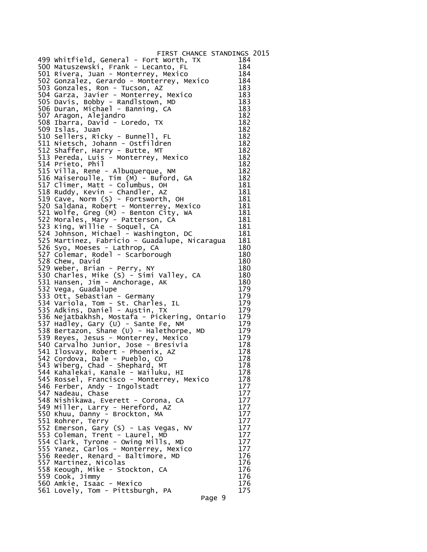| FIRST CHANCE STANDINGS 2015                                                                                                                                                                                                                        |            |  |
|----------------------------------------------------------------------------------------------------------------------------------------------------------------------------------------------------------------------------------------------------|------------|--|
| 499 Whitfield, General - Fort Worth, TX<br>Frank - Lecanto, FL                                                                                                                                                                                     | 184        |  |
|                                                                                                                                                                                                                                                    | 184        |  |
| 501 Rivera, Juan - Monterrey, Mexico                                                                                                                                                                                                               | 184        |  |
| 501 Rıvera, Juan - Monterrey, Mexıco<br>502 Gonzalez, Gerardo - Monterrey, Mexico                                                                                                                                                                  | 184        |  |
| 503 Gonzales, Ron - Tucson, AZ                                                                                                                                                                                                                     | 183        |  |
|                                                                                                                                                                                                                                                    | 183        |  |
| 504 Garza, Javier - Monterrey, Mexico<br>505 Davis, Bobby - Randlstown, MD                                                                                                                                                                         | 183        |  |
|                                                                                                                                                                                                                                                    | 183        |  |
|                                                                                                                                                                                                                                                    | 182        |  |
|                                                                                                                                                                                                                                                    | 182        |  |
| 506 Duran, Michael - Banning, CA<br>506 Duran, Michael - Banning, CA<br>507 Aragon, Alejandro<br>508 Ibarra, David - Loredo, TX<br>509 Islas, Juan<br>510 Sellers, Ricky - Bunnell, FL<br>511 Nietsch, Johann - Ostfildren<br>512 Shaffer, Harry - | 182        |  |
|                                                                                                                                                                                                                                                    | 182        |  |
|                                                                                                                                                                                                                                                    |            |  |
|                                                                                                                                                                                                                                                    | 182        |  |
|                                                                                                                                                                                                                                                    | 182        |  |
|                                                                                                                                                                                                                                                    | 182        |  |
| 514 Prieto, Phil                                                                                                                                                                                                                                   | 182        |  |
| 515 Villa, Rene - Albuquerque, NM<br>516 Maiseroulle, Tim (M) - Buford, GA                                                                                                                                                                         | 182        |  |
|                                                                                                                                                                                                                                                    | 182        |  |
| 517 Climer, Matt - Columbus, OH                                                                                                                                                                                                                    | 181        |  |
|                                                                                                                                                                                                                                                    | 181        |  |
| 518 Ruddy, Kevin - Chandler, AZ<br>519 Cave, Norm (S) - Fortsworth, OH<br>520 Saldana, Robert - Monterrey, Mexico                                                                                                                                  | 181        |  |
|                                                                                                                                                                                                                                                    | 181        |  |
| 521 Wolfe, Greg (M) - Benton City, WA<br>522 Morales, Mary - Patterson, CA                                                                                                                                                                         | 181        |  |
|                                                                                                                                                                                                                                                    | 181        |  |
| 523 King, Willie - Soquel, CA                                                                                                                                                                                                                      | 181        |  |
| 524 Johnson, Michael - Washington, DC                                                                                                                                                                                                              | 181        |  |
| 525 Martinez, Fabricio - Guadalupe, Nicaragua                                                                                                                                                                                                      | 181        |  |
| 526 Syo, Moeses - Lathrop, CA                                                                                                                                                                                                                      | 180        |  |
| 527 Colemar, Rodel - Scarborough                                                                                                                                                                                                                   | 180        |  |
| 528 Chew, David                                                                                                                                                                                                                                    | 180        |  |
| 529 Weber, Brian - Perry, NY                                                                                                                                                                                                                       | 180        |  |
| 530 Charles, Mike (S) - Simi Valley, CA<br>531 Hansen, Jim - Anchorage, AK<br>532 Vega, Guadalupe                                                                                                                                                  | 180        |  |
|                                                                                                                                                                                                                                                    | 180        |  |
|                                                                                                                                                                                                                                                    | 179        |  |
| 533 Ott, Sebastian - Germany<br>534 Variola, Tom - St. Charles, IL<br>535 Adkins, Daniel - Austin, TX                                                                                                                                              | 179        |  |
|                                                                                                                                                                                                                                                    | 179        |  |
|                                                                                                                                                                                                                                                    | 179        |  |
|                                                                                                                                                                                                                                                    | 179        |  |
| 536 Nejatbakhsh, Mostafa - Pickering, Ontario<br>537 Hadley, Gary (U) - Sante Fe, NM<br>538 Bertazon, Shane (U) - Halethorpe, MD                                                                                                                   | 179        |  |
|                                                                                                                                                                                                                                                    | 179        |  |
| 539 Reyes, Jesus - Monterrey, Mexico                                                                                                                                                                                                               | 179        |  |
| 540 Carvalho Junior, Jose - Bresivia                                                                                                                                                                                                               | 178        |  |
| 541 Ilosvay, Robert - Phoenix, AZ                                                                                                                                                                                                                  | 178        |  |
| 542 Cordova, Dale - Pueblo, CO                                                                                                                                                                                                                     | 178        |  |
| 543 Wiberg, Chad - Shephard, MT                                                                                                                                                                                                                    | 178        |  |
| 544 Kahalekai, Kanale - Wailuku, HI                                                                                                                                                                                                                | 178        |  |
| 545 Rossel, Francisco - Monterrey, Mexico                                                                                                                                                                                                          | 178        |  |
| 546 Ferber, Andy - Ingolstadt                                                                                                                                                                                                                      | 177        |  |
| 547 Nadeau, Chase                                                                                                                                                                                                                                  | 177        |  |
| 548 Nishikawa, Everett - Corona, CA                                                                                                                                                                                                                | 177        |  |
|                                                                                                                                                                                                                                                    | 177        |  |
| 549 Miller, Larry - Hereford, AZ                                                                                                                                                                                                                   |            |  |
| 550 Khuu, Danny - Brockton, MA<br>551 Rohrer, Terry                                                                                                                                                                                                | 177<br>177 |  |
|                                                                                                                                                                                                                                                    |            |  |
| 552 Emerson, Gary (S) - Las Vegas, NV                                                                                                                                                                                                              | 177        |  |
| 553 Coleman, Trent - Laurel, MD                                                                                                                                                                                                                    | 177        |  |
| 554 Clark, Tyrone - Owing Mills, MD<br>555 Yanez, Carlos - Monterrey, Mexico                                                                                                                                                                       | 177        |  |
|                                                                                                                                                                                                                                                    | 177        |  |
| 556 Reeder, Renard - Baltimore, MD                                                                                                                                                                                                                 | 176        |  |
| 557 Martinez, Nicolas                                                                                                                                                                                                                              | 176        |  |
| 558 Keough, Mike - Stockton, CA                                                                                                                                                                                                                    | 176        |  |
| 559 Cook, Jimmy                                                                                                                                                                                                                                    | 176        |  |
| 560 Amkié, Isaac - Mexico<br>561 Lovely, Tom - Pittsburgh, PA                                                                                                                                                                                      | 176        |  |
|                                                                                                                                                                                                                                                    | 175        |  |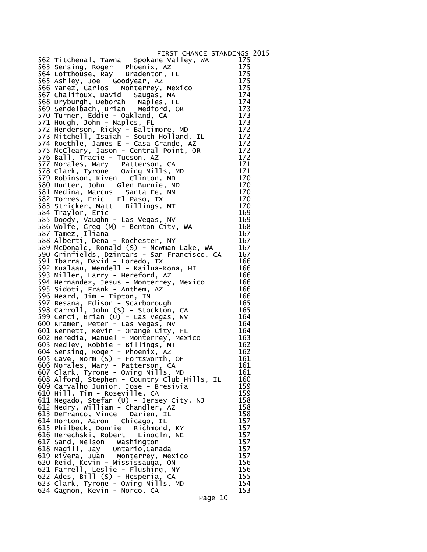| FIRST CHANCE STANDINGS 2015                                                                                                 |            |  |
|-----------------------------------------------------------------------------------------------------------------------------|------------|--|
| 562 Titchenal, Tawna - Spokane Valley, WA 175                                                                               |            |  |
| 563 Sensing, Roger - Phoenix, AZ                                                                                            | 175        |  |
| 564 Lofthouse, Ray - Bradenton, FL                                                                                          | 175        |  |
| 565 Ashley, Joe - Goodyear, AZ                                                                                              | 175        |  |
| 566 Yanez, Carlos - Monterrey, Mexico                                                                                       | 175        |  |
| 567 Chalifoux, David - Saugas, MA                                                                                           | 174        |  |
| 568 Dryburgh, Deborah - Naples, FL                                                                                          | 174        |  |
| 569 Sendelbach, Brian - Medford, OR                                                                                         | 173        |  |
| 570 Turner, Eddie - Oakland, CA                                                                                             | 173        |  |
| 571 Hough, John - Naples, FL                                                                                                | 173<br>172 |  |
| 572 Henderson, Ricky - Baltimore, MD<br>573 Mitchell, Isaiah - South Holland, IL                                            | 172        |  |
| 574 Roethle, James E - Casa Grande, AZ                                                                                      | 172        |  |
| 575 McCleary, Jason - Central Point, OR                                                                                     | 172        |  |
| 576 Ball, Tracie - Tucson, AZ                                                                                               | 172        |  |
| 577 Morales, Mary - Patterson, CA                                                                                           | 171        |  |
| 578 Clark, Tyrone - Owing Mills, MD                                                                                         | 171        |  |
| 579 Robinson, Kiven - Clinton, MD                                                                                           | 170        |  |
| 580 Hunter, John - Glen Burnie, MD                                                                                          | 170        |  |
| 581 Medina, Marcus - Santa Fe, NM                                                                                           | 170        |  |
| 582 Torres, Eric - El Paso, TX                                                                                              | 170        |  |
| 583 Stricker, Matt - Billings, MT                                                                                           | 170        |  |
| 584 Traylor, Eric                                                                                                           | 169        |  |
| 585 Doody, Vaughn - Las Vegas, NV                                                                                           | 169        |  |
| 586 Wolfe, Greg (M) - Benton City, WA                                                                                       | 168        |  |
| 587 Tamez, Iliana                                                                                                           | 167        |  |
| 588 Alberti, Dena - Rochester, NY<br>589 McDonald, Ronald (S) - Newman Lake, WA                                             | 167        |  |
| 590 Grinfields, Dzintars - San Francisco, CA                                                                                | 167<br>167 |  |
| 591 Ibarra, David - Loredo, TX                                                                                              | 166        |  |
| 592 Kualaau, Wendell - Kailua-Kona, HI                                                                                      | 166        |  |
| 593 Miller, Larry - Hereford, AZ                                                                                            | 166        |  |
| 594 Hernandez, Jesus - Monterrey, Mexico                                                                                    | 166        |  |
| 595 Sidoti, Frank - Anthem, AZ                                                                                              | 166        |  |
| 596 Heard, Jim - Tipton, IN                                                                                                 | 166        |  |
| 597 Besana, Edison - Scarborough                                                                                            | 165        |  |
| 598 Carroll, John (S) - Stockton, CA                                                                                        | 165        |  |
| 599 Cenci, Brian (U) - Las Vegas,<br>600 Kramer, Peter - Las Vegas, NV<br><b>NV</b>                                         | 164        |  |
|                                                                                                                             | 164        |  |
| 601 Kennett, Kevin - Orange City, FL                                                                                        | 164        |  |
| 602 Heredia, Manuel - Monterrey, Mexico                                                                                     | 163        |  |
| 603 Medley, Robbie - Billings, MT                                                                                           | 162<br>162 |  |
| 604 Sensing, Roger - Phoenix, AZ<br>605 Cave, Norm (S) - Fortsworth, OH                                                     | 161        |  |
| 606 Morales, Mary - Patterson, CA                                                                                           | 161        |  |
|                                                                                                                             | 161        |  |
| 607 Clark, Tyrone - Owing Mills, MD<br>608 Alford, Stephen - Country Club Hills, IL<br>609 Carvalho Junior, Jose - Bresivia | 160        |  |
|                                                                                                                             | 159        |  |
| 610 Hill, Tim - Roseville, CA                                                                                               | 159        |  |
| 611 Negado, Stefan (U) - Jersey City, NJ                                                                                    | 158        |  |
| 612 Nedry, William - Chandler, AZ                                                                                           | 158        |  |
| 613 DeFranco, Vince - Darien, IL                                                                                            | 158        |  |
| 614 Horton, Aaron - Chicago, IL                                                                                             | 157        |  |
| 615 Philbeck, Donnie - Richmond, KY                                                                                         | 157        |  |
| 616 Herechski, Robert - Linocln, NE                                                                                         | 157        |  |
| 617 Sand, Nelson - Washington                                                                                               | 157        |  |
| 618 Magill, Jay - Ontario, Canada                                                                                           | 157<br>157 |  |
| 619 Rivera, Juan - Monterrey, Mexico<br>620 Reid, Kevin - Mississauga, ON                                                   | 156        |  |
| 621 Farrell, Leslie - Flushing, NY                                                                                          | 156        |  |
| 622 Ades, Bill (S) - Hesperia, CA                                                                                           | 155        |  |
| 623 Clark, Tyrone - Owing Mills, MD                                                                                         | 154        |  |
| 624 Gagnon, Kevin - Norco, CA                                                                                               | 153        |  |
|                                                                                                                             | Page 10    |  |
|                                                                                                                             |            |  |